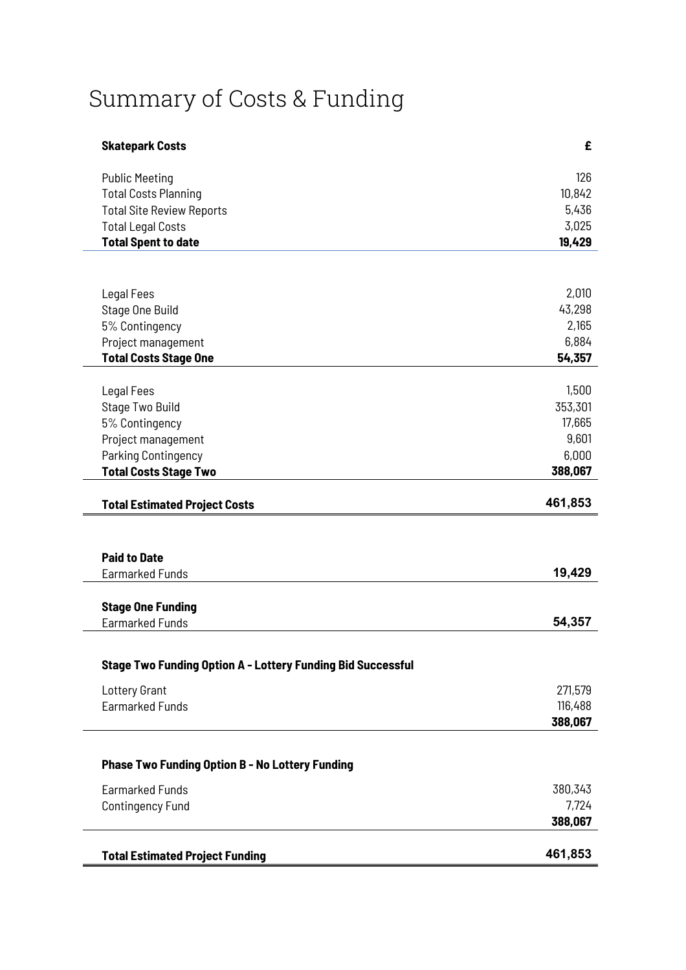## Summary of Costs & Funding

| <b>Skatepark Costs</b>                                             | £       |
|--------------------------------------------------------------------|---------|
| <b>Public Meeting</b>                                              | 126     |
| <b>Total Costs Planning</b>                                        | 10,842  |
| <b>Total Site Review Reports</b>                                   | 5,436   |
| <b>Total Legal Costs</b>                                           | 3,025   |
| <b>Total Spent to date</b>                                         | 19,429  |
|                                                                    |         |
| Legal Fees                                                         | 2,010   |
| Stage One Build                                                    | 43,298  |
| 5% Contingency                                                     | 2,165   |
| Project management                                                 | 6,884   |
| <b>Total Costs Stage One</b>                                       | 54,357  |
|                                                                    |         |
| Legal Fees                                                         | 1,500   |
| Stage Two Build                                                    | 353,301 |
| 5% Contingency                                                     | 17,665  |
| Project management                                                 | 9,601   |
| Parking Contingency                                                | 6,000   |
| <b>Total Costs Stage Two</b>                                       | 388,067 |
| <b>Total Estimated Project Costs</b>                               | 461,853 |
|                                                                    |         |
| <b>Paid to Date</b>                                                |         |
| Earmarked Funds                                                    | 19,429  |
|                                                                    |         |
| <b>Stage One Funding</b><br><b>Earmarked Funds</b>                 | 54,357  |
|                                                                    |         |
| <b>Stage Two Funding Option A - Lottery Funding Bid Successful</b> |         |
|                                                                    | 271,579 |
| Lottery Grant<br><b>Earmarked Funds</b>                            | 116,488 |
|                                                                    | 388,067 |
|                                                                    |         |
| <b>Phase Two Funding Option B - No Lottery Funding</b>             |         |
| <b>Earmarked Funds</b>                                             | 380,343 |
| <b>Contingency Fund</b>                                            | 7,724   |
|                                                                    | 388,067 |
|                                                                    |         |
| <b>Total Estimated Project Funding</b>                             | 461,853 |